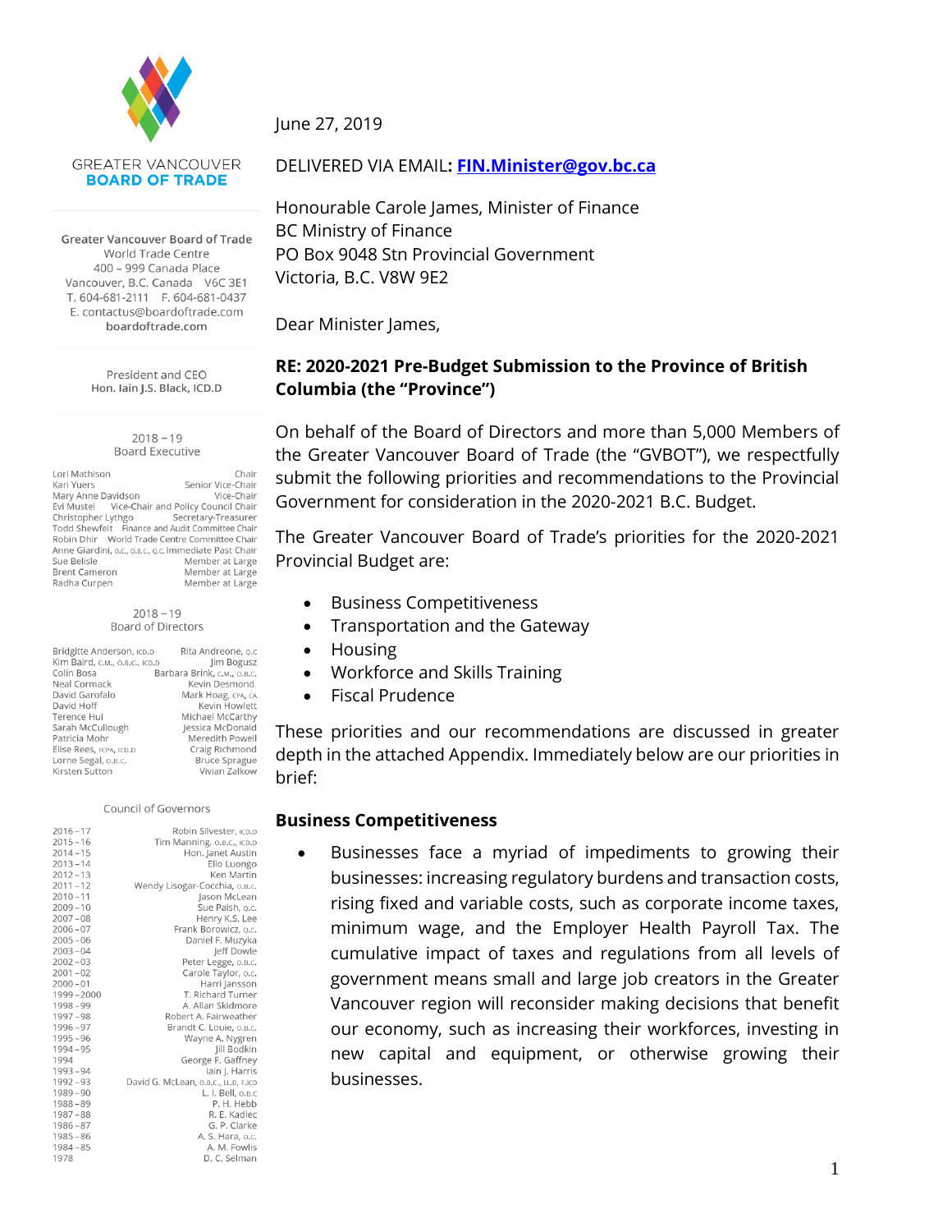

**GREATER VANCOUVER BOARD OF TRADE** 

Greater Vancouver Board of Trade World Trade Centre 400 - 999 Canada Place Vancouver, B.C. Canada V6C 3E1 T. 604-681-2111 F. 604-681-0437 E. contactus@boardoftrade.com boardoftrade.com

> President and CEO Hon. lain J.S. Black, ICD.D

> > $2018 - 19$ **Board Executive**

Lori Mathison Chair Kari Yuers Senior Vice-Chair Mary Anne Davidson<br>
Evi Mustel Vice-Chair and Policy Council Chair<br>
Evi Mustel Vice-Chair and Policy Council Chair Christopher Lythgo Secretary-Treasurer<br>Todd Shewfelt Finance and Audit Committee Chair<br>Robin Dhir World Trade Centre Committee Chair Anne Giardini, o.c., o.<mark>B.c., o.c. Immediate Past Chair</mark> Sue Belisle Member at Large **Brent Cameron** Member at Large Radha Curpen Member at Large

#### $2018 - 19$ Board of Directors

| Bridgitte Anderson, ICD.D<br>Kim Baird, C.M., O.B.C., ICD.D | Rita Andreone, o<br>Jim Bogus |
|-------------------------------------------------------------|-------------------------------|
|                                                             |                               |
| Colin Bosa                                                  | Barbara Brink, c.m., o.B.     |
| Neal Cormack                                                | Kevin Desmon                  |
| David Garofalo                                              | Mark Hoag, CPA,               |
| David Hoff                                                  | Kevin Howle                   |
| Terence Hui                                                 | Michael McCarth               |
| Sarah McCullough                                            | Jessica McDonal               |
| Patricia Mohr                                               | Meredith Powe                 |
| Elise Rees, FCPA, ICD.D                                     | Craig Richmon                 |
| Lorne Segal, o.B.c.                                         | <b>Bruce Spragu</b>           |
| Kirsten Sutton                                              | Vivian Zalko                  |
|                                                             |                               |

#### Council of Governors

| $2016 - 17$ | Robin Silvester, ICD.D               |  |
|-------------|--------------------------------------|--|
| $2015 - 16$ | Tim Manning, o.B.C., ICD.D           |  |
| $2014 - 15$ | Hon. Janet Austin                    |  |
| $2013 - 14$ | Elio Luongo                          |  |
| 2012-13     | Ken Martin                           |  |
| $2011 - 12$ | Wendy Lisogar-Cocchia, o.B.c.        |  |
| $2010 - 11$ | Jason McLean                         |  |
| $2009 - 10$ | Sue Paish, o.c.                      |  |
| $2007 - 08$ | Henry K.S. Lee                       |  |
| $2006 - 07$ | Frank Borowicz, o.c.                 |  |
| 2005-06     | Daniel F. Muzyka                     |  |
| $2003 - 04$ | Jeff Dowle                           |  |
| $2002 - 03$ | Peter Legge, o.B.C.                  |  |
| $2001 - 02$ | Carole Taylor, o.c.                  |  |
| $2000 - 01$ | Harri Jansson                        |  |
| 1999-2000   | T. Richard Turner                    |  |
| 1998-99     | A. Allan Skidmore                    |  |
| 1997 - 98   | Robert A. Fairweather                |  |
| $1996 - 97$ | Brandt C. Louie, o.B.c.              |  |
| $1995 - 96$ | Wayne A. Nygren                      |  |
| 1994-95     | Jill Bodkin                          |  |
| 1994        | George F. Gaffney                    |  |
| 1993-94     | lain J. Harris                       |  |
| 1992-93     | David G. McLean, o.B.C., LL.D, F.ICD |  |
| $1989 - 90$ | L. I. Bell, о.в.с                    |  |
| $1988 - 89$ | P. H. Hebb                           |  |
| 1987-88     | R. E. Kadlec                         |  |
| 1986-87     | G. P. Clarke                         |  |
| $1985 - 86$ | A. S. Hara, o.c.                     |  |
| 1984-85     | A. M. Fowlis                         |  |
| 1978        | D. C. Selman                         |  |

June 27, 2019

#### DELIVERED VIA EMAIL**: [FIN.Minister@gov.bc.ca](mailto:FIN.Minister@gov.bc.ca)**

Honourable Carole James, Minister of Finance BC Ministry of Finance PO Box 9048 Stn Provincial Government Victoria, B.C. V8W 9E2

Dear Minister James,

# **RE: 2020-2021 Pre-Budget Submission to the Province of British Columbia (the "Province")**

On behalf of the Board of Directors and more than 5,000 Members of the Greater Vancouver Board of Trade (the "GVBOT"), we respectfully submit the following priorities and recommendations to the Provincial Government for consideration in the 2020-2021 B.C. Budget.

The Greater Vancouver Board of Trade's priorities for the 2020-2021 Provincial Budget are:

- Business Competitiveness
- Transportation and the Gateway
- Housing
- Workforce and Skills Training
- Fiscal Prudence

These priorities and our recommendations are discussed in greater depth in the attached Appendix. Immediately below are our priorities in brief:

#### **Business Competitiveness**

 Businesses face a myriad of impediments to growing their businesses: increasing regulatory burdens and transaction costs, rising fixed and variable costs, such as corporate income taxes, minimum wage, and the Employer Health Payroll Tax. The cumulative impact of taxes and regulations from all levels of government means small and large job creators in the Greater Vancouver region will reconsider making decisions that benefit our economy, such as increasing their workforces, investing in new capital and equipment, or otherwise growing their businesses.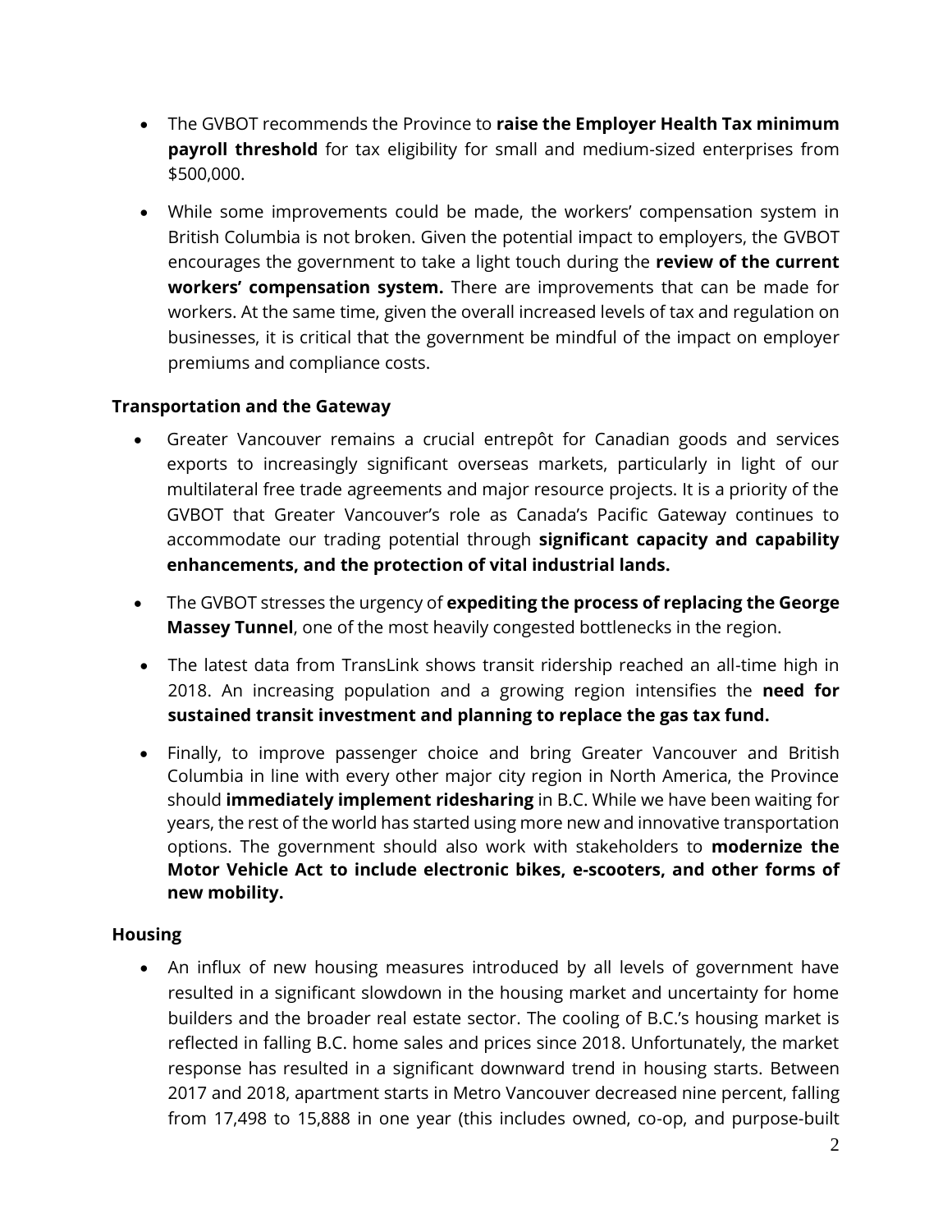- The GVBOT recommends the Province to **raise the Employer Health Tax minimum payroll threshold** for tax eligibility for small and medium-sized enterprises from \$500,000.
- While some improvements could be made, the workers' compensation system in British Columbia is not broken. Given the potential impact to employers, the GVBOT encourages the government to take a light touch during the **review of the current workers' compensation system.** There are improvements that can be made for workers. At the same time, given the overall increased levels of tax and regulation on businesses, it is critical that the government be mindful of the impact on employer premiums and compliance costs.

# **Transportation and the Gateway**

- Greater Vancouver remains a crucial entrepôt for Canadian goods and services exports to increasingly significant overseas markets, particularly in light of our multilateral free trade agreements and major resource projects. It is a priority of the GVBOT that Greater Vancouver's role as Canada's Pacific Gateway continues to accommodate our trading potential through **significant capacity and capability enhancements, and the protection of vital industrial lands.**
- The GVBOT stresses the urgency of **expediting the process of replacing the George Massey Tunnel**, one of the most heavily congested bottlenecks in the region.
- The latest data from TransLink shows transit ridership reached an all-time high in 2018. An increasing population and a growing region intensifies the **need for sustained transit investment and planning to replace the gas tax fund.**
- Finally, to improve passenger choice and bring Greater Vancouver and British Columbia in line with every other major city region in North America, the Province should **immediately implement ridesharing** in B.C. While we have been waiting for years, the rest of the world has started using more new and innovative transportation options. The government should also work with stakeholders to **modernize the Motor Vehicle Act to include electronic bikes, e-scooters, and other forms of new mobility.**

#### **Housing**

 An influx of new housing measures introduced by all levels of government have resulted in a significant slowdown in the housing market and uncertainty for home builders and the broader real estate sector. The cooling of B.C.'s housing market is reflected in falling B.C. home sales and prices since 2018. Unfortunately, the market response has resulted in a significant downward trend in housing starts. Between 2017 and 2018, apartment starts in Metro Vancouver decreased nine percent, falling from 17,498 to 15,888 in one year (this includes owned, co-op, and purpose-built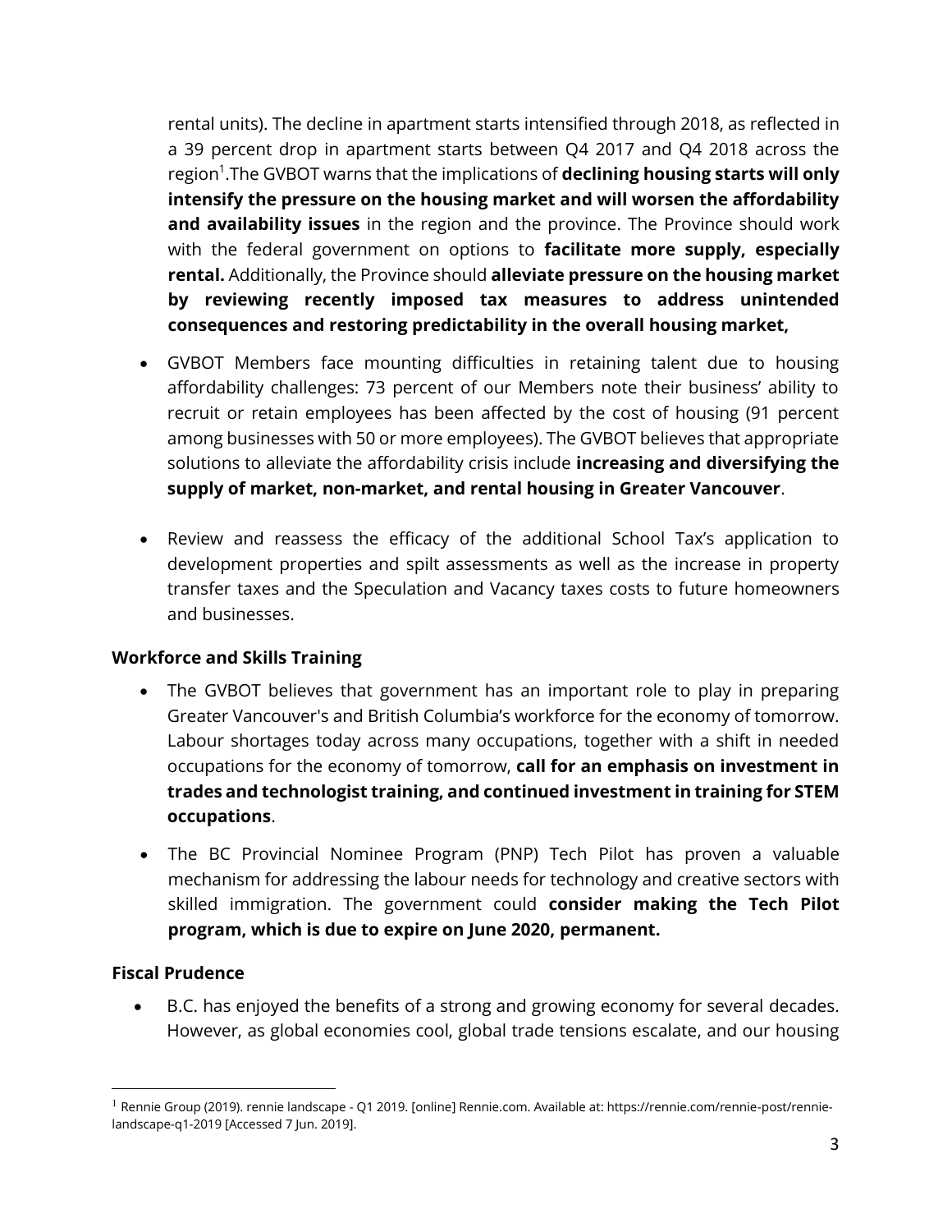rental units). The decline in apartment starts intensified through 2018, as reflected in a 39 percent drop in apartment starts between Q4 2017 and Q4 2018 across the region<sup>1</sup>.The GVBOT warns that the implications of **declining housing starts will only intensify the pressure on the housing market and will worsen the affordability and availability issues** in the region and the province. The Province should work with the federal government on options to **facilitate more supply, especially rental.** Additionally, the Province should **alleviate pressure on the housing market by reviewing recently imposed tax measures to address unintended consequences and restoring predictability in the overall housing market,** 

- GVBOT Members face mounting difficulties in retaining talent due to housing affordability challenges: 73 percent of our Members note their business' ability to recruit or retain employees has been affected by the cost of housing (91 percent among businesses with 50 or more employees). The GVBOT believes that appropriate solutions to alleviate the affordability crisis include **increasing and diversifying the supply of market, non-market, and rental housing in Greater Vancouver**.
- Review and reassess the efficacy of the additional School Tax's application to development properties and spilt assessments as well as the increase in property transfer taxes and the Speculation and Vacancy taxes costs to future homeowners and businesses.

# **Workforce and Skills Training**

- The GVBOT believes that government has an important role to play in preparing Greater Vancouver's and British Columbia's workforce for the economy of tomorrow. Labour shortages today across many occupations, together with a shift in needed occupations for the economy of tomorrow, **call for an emphasis on investment in trades and technologist training, and continued investment in training for STEM occupations**.
- The BC Provincial Nominee Program (PNP) Tech Pilot has proven a valuable mechanism for addressing the labour needs for technology and creative sectors with skilled immigration. The government could **consider making the Tech Pilot program, which is due to expire on June 2020, permanent.**

# **Fiscal Prudence**

 $\overline{a}$ 

 B.C. has enjoyed the benefits of a strong and growing economy for several decades. However, as global economies cool, global trade tensions escalate, and our housing

<sup>&</sup>lt;sup>1</sup> Rennie Group (2019). rennie landscape - Q1 2019. [online] Rennie.com. Available at: https://rennie.com/rennie-post/rennielandscape-q1-2019 [Accessed 7 Jun. 2019].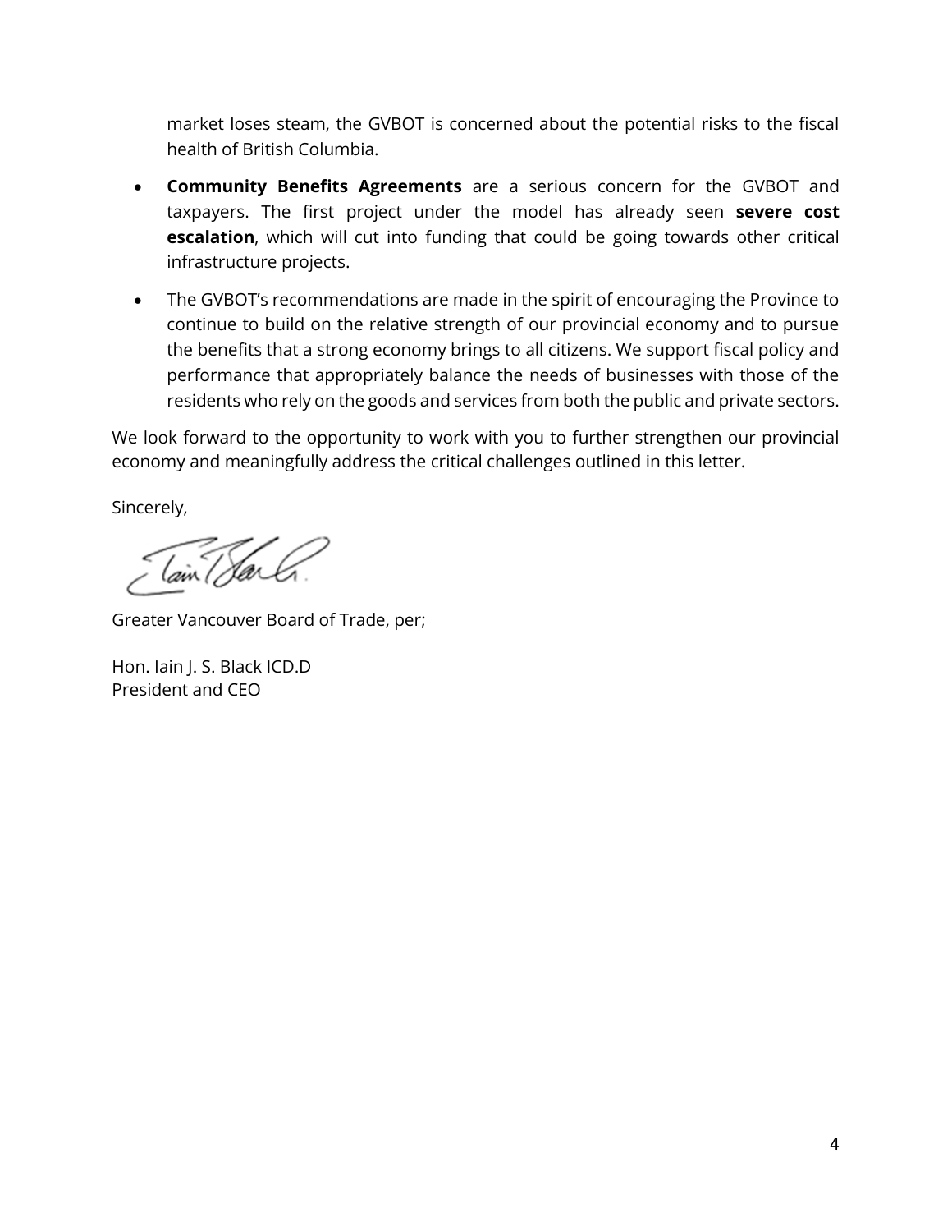market loses steam, the GVBOT is concerned about the potential risks to the fiscal health of British Columbia.

- **Community Benefits Agreements** are a serious concern for the GVBOT and taxpayers. The first project under the model has already seen **severe cost escalation**, which will cut into funding that could be going towards other critical infrastructure projects.
- The GVBOT's recommendations are made in the spirit of encouraging the Province to continue to build on the relative strength of our provincial economy and to pursue the benefits that a strong economy brings to all citizens. We support fiscal policy and performance that appropriately balance the needs of businesses with those of the residents who rely on the goods and services from both the public and private sectors.

We look forward to the opportunity to work with you to further strengthen our provincial economy and meaningfully address the critical challenges outlined in this letter.

Sincerely,

(ain Tar G.

Greater Vancouver Board of Trade, per;

Hon. Iain J. S. Black ICD.D President and CEO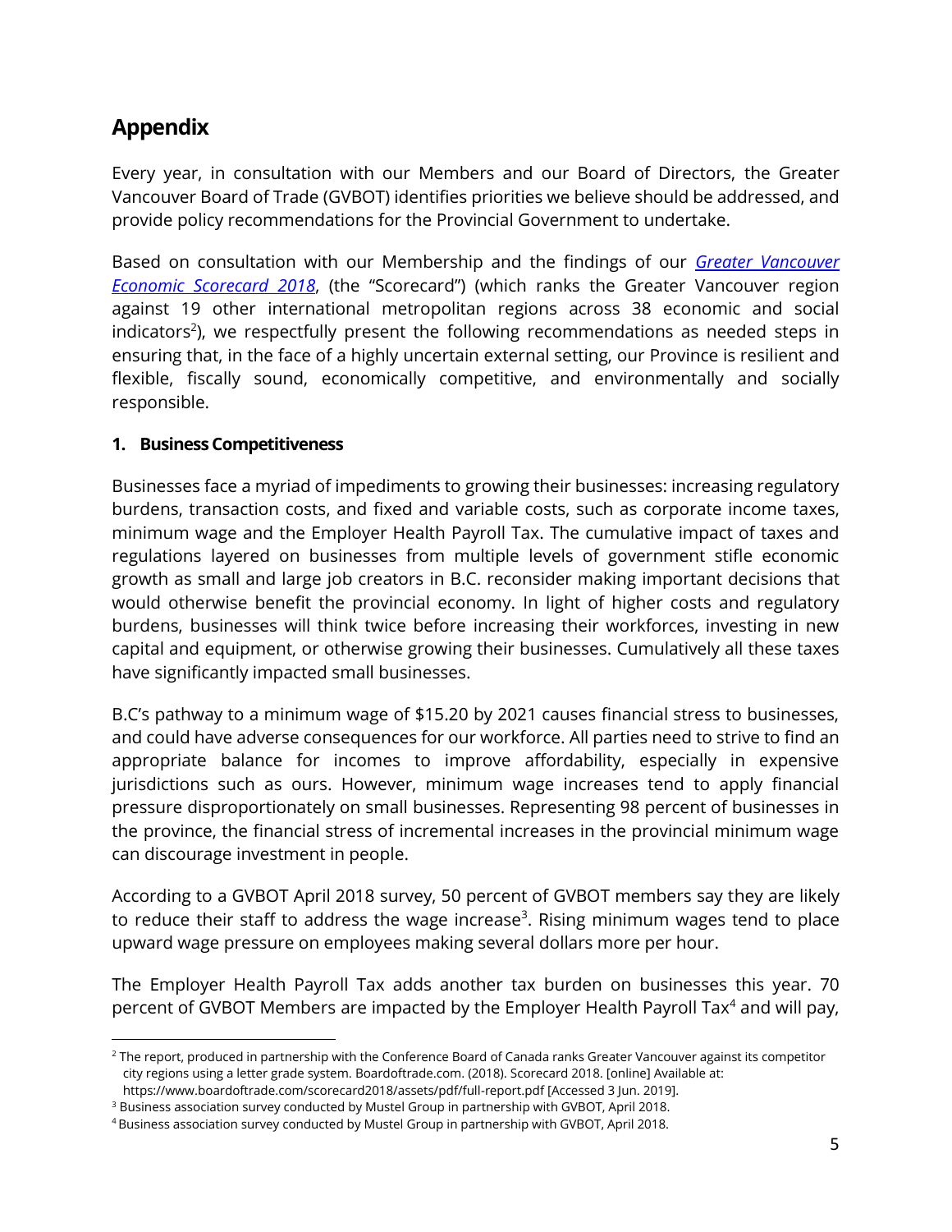# **Appendix**

 $\overline{a}$ 

Every year, in consultation with our Members and our Board of Directors, the Greater Vancouver Board of Trade (GVBOT) identifies priorities we believe should be addressed, and provide policy recommendations for the Provincial Government to undertake.

Based on consultation with our Membership and the findings of our *[Greater Vancouver](https://www.boardoftrade.com/scorecard2018/assets/pdf/full-report.pdf)  [Economic Scorecard 2018](https://www.boardoftrade.com/scorecard2018/assets/pdf/full-report.pdf)*, (the "Scorecard") (which ranks the Greater Vancouver region against 19 other international metropolitan regions across 38 economic and social indicators<sup>2</sup>), we respectfully present the following recommendations as needed steps in ensuring that, in the face of a highly uncertain external setting, our Province is resilient and flexible, fiscally sound, economically competitive, and environmentally and socially responsible.

# **1. Business Competitiveness**

Businesses face a myriad of impediments to growing their businesses: increasing regulatory burdens, transaction costs, and fixed and variable costs, such as corporate income taxes, minimum wage and the Employer Health Payroll Tax. The cumulative impact of taxes and regulations layered on businesses from multiple levels of government stifle economic growth as small and large job creators in B.C. reconsider making important decisions that would otherwise benefit the provincial economy. In light of higher costs and regulatory burdens, businesses will think twice before increasing their workforces, investing in new capital and equipment, or otherwise growing their businesses. Cumulatively all these taxes have significantly impacted small businesses.

B.C's pathway to a minimum wage of \$15.20 by 2021 causes financial stress to businesses, and could have adverse consequences for our workforce. All parties need to strive to find an appropriate balance for incomes to improve affordability, especially in expensive jurisdictions such as ours. However, minimum wage increases tend to apply financial pressure disproportionately on small businesses. Representing 98 percent of businesses in the province, the financial stress of incremental increases in the provincial minimum wage can discourage investment in people.

According to a GVBOT April 2018 survey, 50 percent of GVBOT members say they are likely to reduce their staff to address the wage increase<sup>3</sup>. Rising minimum wages tend to place upward wage pressure on employees making several dollars more per hour.

The Employer Health Payroll Tax adds another tax burden on businesses this year. 70 percent of GVBOT Members are impacted by the Employer Health Payroll Tax<sup>4</sup> and will pay,

<sup>&</sup>lt;sup>2</sup> The report, produced in partnership with the Conference Board of Canada ranks Greater Vancouver against its competitor city regions using a letter grade system. Boardoftrade.com. (2018). Scorecard 2018. [online] Available at:

https://www.boardoftrade.com/scorecard2018/assets/pdf/full-report.pdf [Accessed 3 Jun. 2019].

<sup>&</sup>lt;sup>3</sup> Business association survey conducted by Mustel Group in partnership with GVBOT, April 2018.

<sup>4</sup> Business association survey conducted by Mustel Group in partnership with GVBOT, April 2018.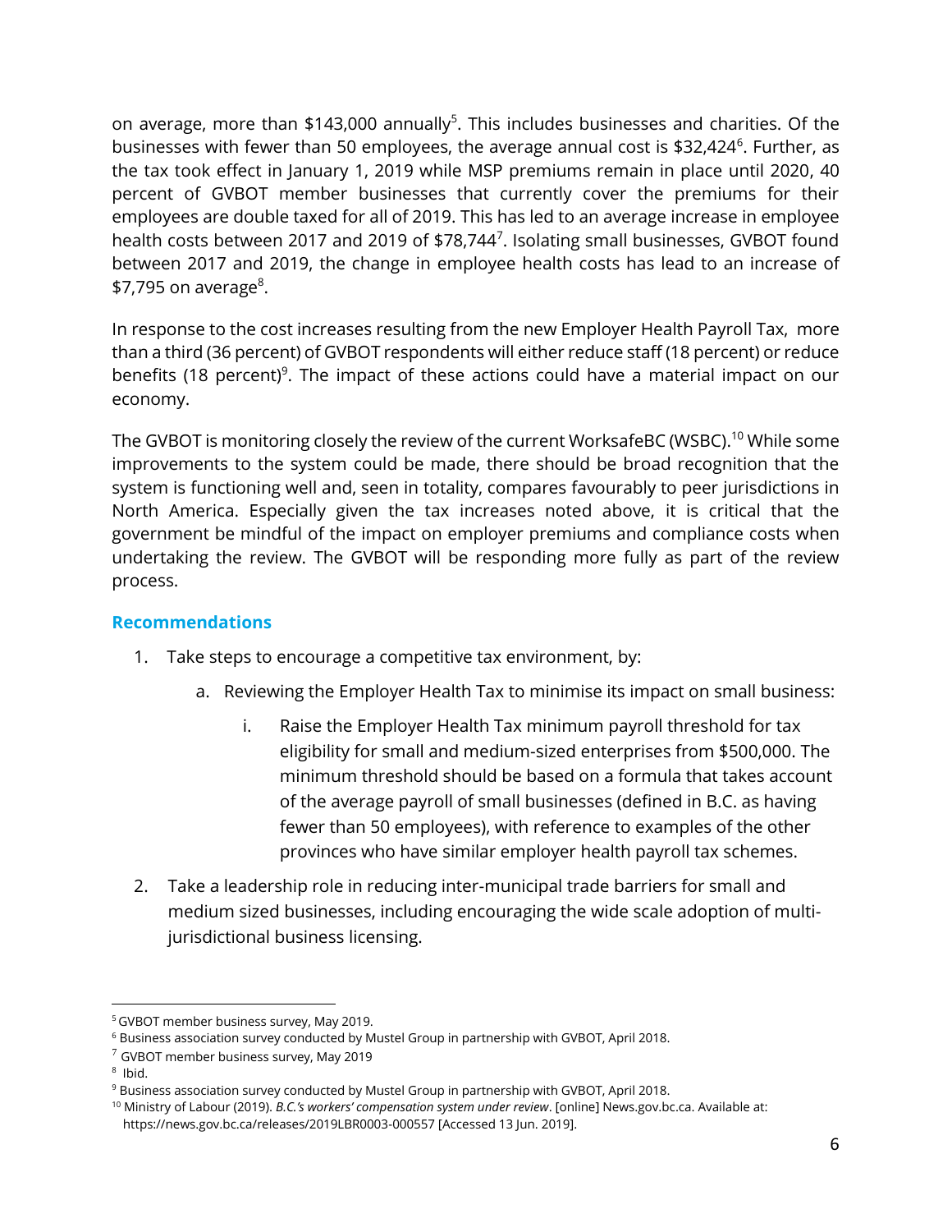on average, more than \$143,000 annually<sup>5</sup>. This includes businesses and charities. Of the businesses with fewer than 50 employees, the average annual cost is \$32,424<sup>6</sup>. Further, as the tax took effect in January 1, 2019 while MSP premiums remain in place until 2020, 40 percent of GVBOT member businesses that currently cover the premiums for their employees are double taxed for all of 2019. This has led to an average increase in employee health costs between 2017 and 2019 of \$78,744<sup>7</sup>. Isolating small businesses, GVBOT found between 2017 and 2019, the change in employee health costs has lead to an increase of  $$7,795$  on average<sup>8</sup>.

In response to the cost increases resulting from the new Employer Health Payroll Tax, more than a third (36 percent) of GVBOT respondents will either reduce staff (18 percent) or reduce benefits (18 percent)<sup>9</sup>. The impact of these actions could have a material impact on our economy.

The GVBOT is monitoring closely the review of the current WorksafeBC (WSBC). $^{10}$  While some improvements to the system could be made, there should be broad recognition that the system is functioning well and, seen in totality, compares favourably to peer jurisdictions in North America. Especially given the tax increases noted above, it is critical that the government be mindful of the impact on employer premiums and compliance costs when undertaking the review. The GVBOT will be responding more fully as part of the review process.

## **Recommendations**

- 1. Take steps to encourage a competitive tax environment, by:
	- a. Reviewing the Employer Health Tax to minimise its impact on small business:
		- i. Raise the Employer Health Tax minimum payroll threshold for tax eligibility for small and medium-sized enterprises from \$500,000. The minimum threshold should be based on a formula that takes account of the average payroll of small businesses (defined in B.C. as having fewer than 50 employees), with reference to examples of the other provinces who have similar employer health payroll tax schemes.
- 2. Take a leadership role in reducing inter-municipal trade barriers for small and medium sized businesses, including encouraging the wide scale adoption of multijurisdictional business licensing.

 $\overline{a}$ <sup>5</sup> GVBOT member business survey, May 2019.

<sup>6</sup> Business association survey conducted by Mustel Group in partnership with GVBOT, April 2018.

 $7$  GVBOT member business survey, May 2019

<sup>8</sup> Ibid.

<sup>&</sup>lt;sup>9</sup> Business association survey conducted by Mustel Group in partnership with GVBOT, April 2018.

<sup>10</sup> Ministry of Labour (2019). *B.C.'s workers' compensation system under review*. [online] News.gov.bc.ca. Available at: https://news.gov.bc.ca/releases/2019LBR0003-000557 [Accessed 13 Jun. 2019].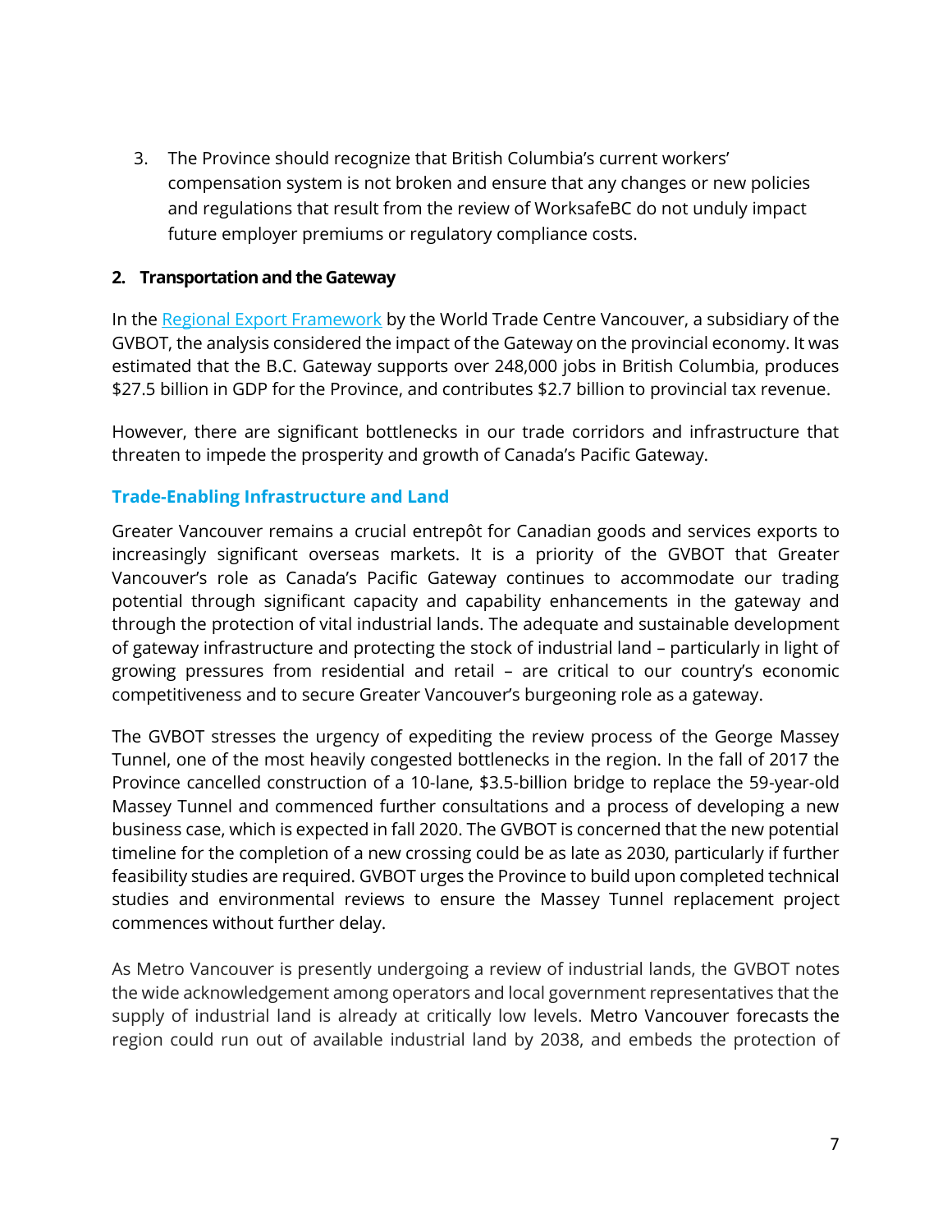3. The Province should recognize that British Columbia's current workers' compensation system is not broken and ensure that any changes or new policies and regulations that result from the review of WorksafeBC do not unduly impact future employer premiums or regulatory compliance costs.

#### **2. Transportation and the Gateway**

In the [Regional Export Framework](http://www.wtcref.ca/) by the World Trade Centre Vancouver, a subsidiary of the GVBOT, the analysis considered the impact of the Gateway on the provincial economy. It was estimated that the B.C. Gateway supports over 248,000 jobs in British Columbia, produces \$27.5 billion in GDP for the Province, and contributes \$2.7 billion to provincial tax revenue.

However, there are significant bottlenecks in our trade corridors and infrastructure that threaten to impede the prosperity and growth of Canada's Pacific Gateway.

#### **Trade-Enabling Infrastructure and Land**

Greater Vancouver remains a crucial entrepôt for Canadian goods and services exports to increasingly significant overseas markets. It is a priority of the GVBOT that Greater Vancouver's role as Canada's Pacific Gateway continues to accommodate our trading potential through significant capacity and capability enhancements in the gateway and through the protection of vital industrial lands. The adequate and sustainable development of gateway infrastructure and protecting the stock of industrial land – particularly in light of growing pressures from residential and retail – are critical to our country's economic competitiveness and to secure Greater Vancouver's burgeoning role as a gateway.

The GVBOT stresses the urgency of expediting the review process of the George Massey Tunnel, one of the most heavily congested bottlenecks in the region. In the fall of 2017 the Province cancelled construction of a 10-lane, \$3.5-billion bridge to replace the 59-year-old Massey Tunnel and commenced further consultations and a process of developing a new business case, which is expected in fall 2020. The GVBOT is concerned that the new potential timeline for the completion of a new crossing could be as late as 2030, particularly if further feasibility studies are required. GVBOT urges the Province to build upon completed technical studies and environmental reviews to ensure the Massey Tunnel replacement project commences without further delay.

As Metro Vancouver is presently undergoing a review of industrial lands, the GVBOT notes the wide acknowledgement among operators and local government representatives that the supply of industrial land is already at critically low levels. Metro Vancouver forecasts the region could run out of available industrial land by 2038, and embeds the protection of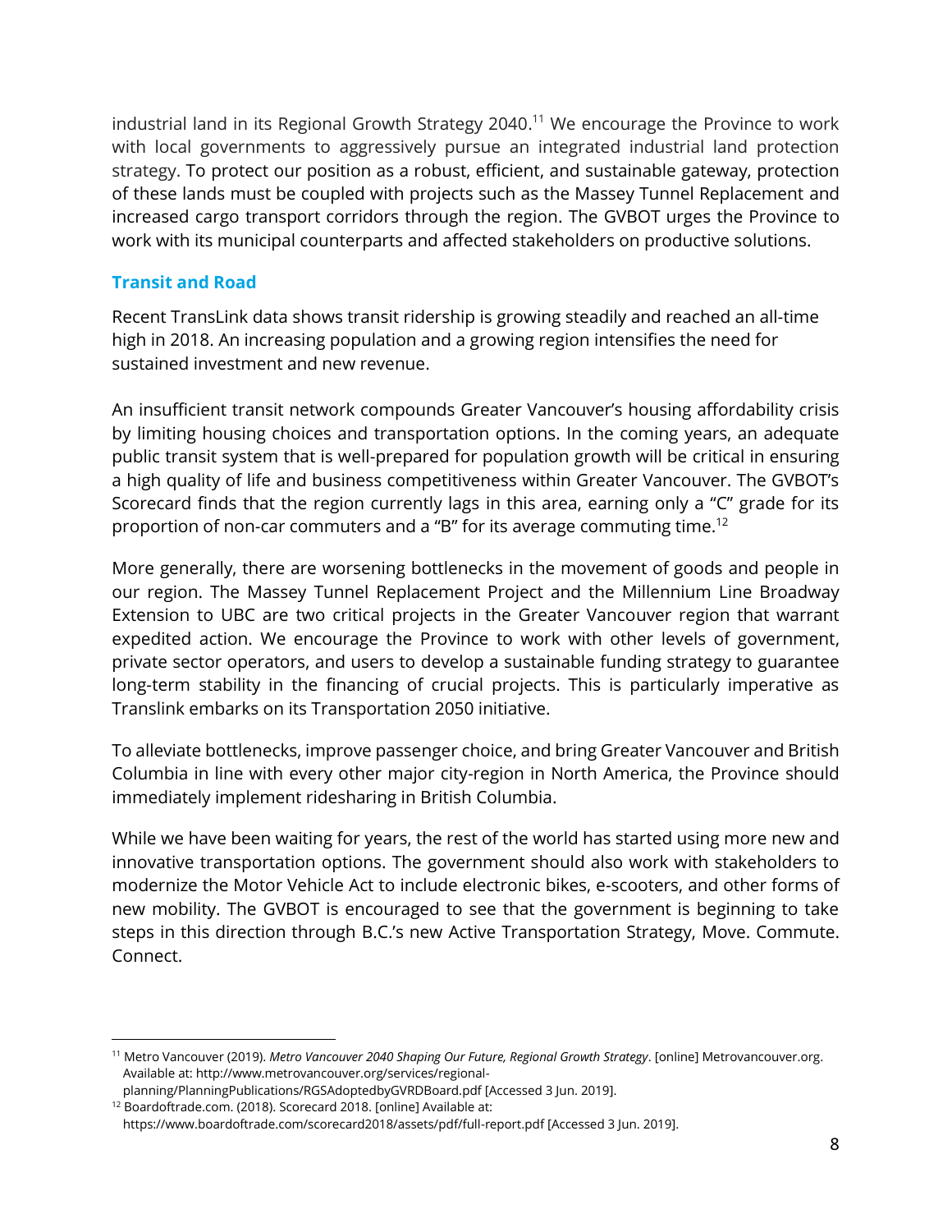industrial land in its Regional Growth Strategy 2040. <sup>11</sup> We encourage the Province to work with local governments to aggressively pursue an integrated industrial land protection strategy. To protect our position as a robust, efficient, and sustainable gateway, protection of these lands must be coupled with projects such as the Massey Tunnel Replacement and increased cargo transport corridors through the region. The GVBOT urges the Province to work with its municipal counterparts and affected stakeholders on productive solutions.

## **Transit and Road**

 $\overline{a}$ 

Recent TransLink data shows transit ridership is growing steadily and reached an all-time high in 2018. An increasing population and a growing region intensifies the need for sustained investment and new revenue.

An insufficient transit network compounds Greater Vancouver's housing affordability crisis by limiting housing choices and transportation options. In the coming years, an adequate public transit system that is well-prepared for population growth will be critical in ensuring a high quality of life and business competitiveness within Greater Vancouver. The GVBOT's Scorecard finds that the region currently lags in this area, earning only a "C" grade for its proportion of non-car commuters and a "B" for its average commuting time.<sup>12</sup>

More generally, there are worsening bottlenecks in the movement of goods and people in our region. The Massey Tunnel Replacement Project and the Millennium Line Broadway Extension to UBC are two critical projects in the Greater Vancouver region that warrant expedited action. We encourage the Province to work with other levels of government, private sector operators, and users to develop a sustainable funding strategy to guarantee long-term stability in the financing of crucial projects. This is particularly imperative as Translink embarks on its Transportation 2050 initiative.

To alleviate bottlenecks, improve passenger choice, and bring Greater Vancouver and British Columbia in line with every other major city-region in North America, the Province should immediately implement ridesharing in British Columbia.

While we have been waiting for years, the rest of the world has started using more new and innovative transportation options. The government should also work with stakeholders to modernize the Motor Vehicle Act to include electronic bikes, e-scooters, and other forms of new mobility. The GVBOT is encouraged to see that the government is beginning to take steps in this direction through B.C.'s new Active Transportation Strategy, Move. Commute. Connect.

<sup>11</sup> Metro Vancouver (2019). *Metro Vancouver 2040 Shaping Our Future, Regional Growth Strategy*. [online] Metrovancouver.org. Available at: http://www.metrovancouver.org/services/regional-

planning/PlanningPublications/RGSAdoptedbyGVRDBoard.pdf [Accessed 3 Jun. 2019].

<sup>12</sup> Boardoftrade.com. (2018). Scorecard 2018. [online] Available at: https://www.boardoftrade.com/scorecard2018/assets/pdf/full-report.pdf [Accessed 3 Jun. 2019].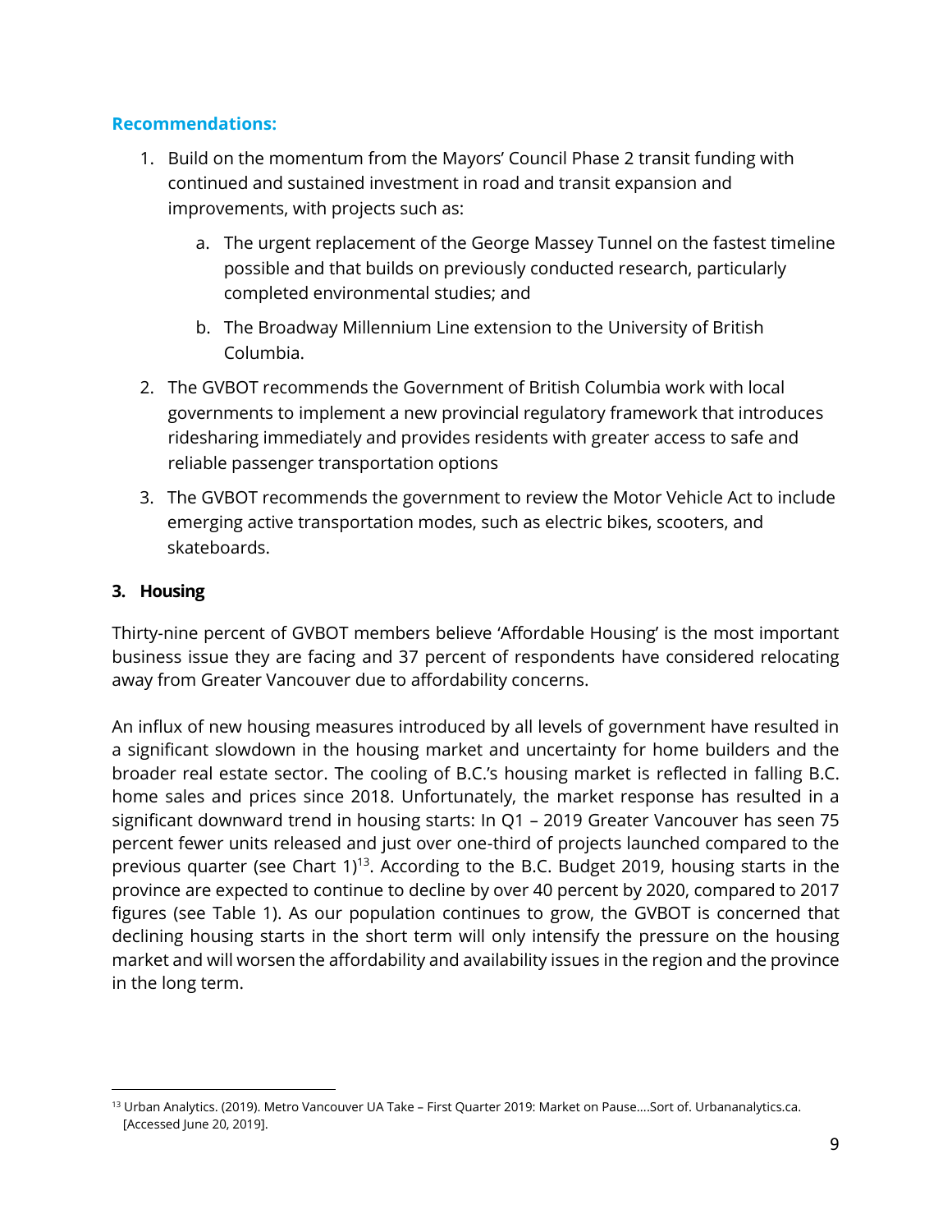#### **Recommendations:**

- 1. Build on the momentum from the Mayors' Council Phase 2 transit funding with continued and sustained investment in road and transit expansion and improvements, with projects such as:
	- a. The urgent replacement of the George Massey Tunnel on the fastest timeline possible and that builds on previously conducted research, particularly completed environmental studies; and
	- b. The Broadway Millennium Line extension to the University of British Columbia.
- 2. The GVBOT recommends the Government of British Columbia work with local governments to implement a new provincial regulatory framework that introduces ridesharing immediately and provides residents with greater access to safe and reliable passenger transportation options
- 3. The GVBOT recommends the government to review the Motor Vehicle Act to include emerging active transportation modes, such as electric bikes, scooters, and skateboards.

# **3. Housing**

 $\overline{a}$ 

Thirty-nine percent of GVBOT members believe 'Affordable Housing' is the most important business issue they are facing and 37 percent of respondents have considered relocating away from Greater Vancouver due to affordability concerns.

An influx of new housing measures introduced by all levels of government have resulted in a significant slowdown in the housing market and uncertainty for home builders and the broader real estate sector. The cooling of B.C.'s housing market is reflected in falling B.C. home sales and prices since 2018. Unfortunately, the market response has resulted in a significant downward trend in housing starts: In Q1 – 2019 Greater Vancouver has seen 75 percent fewer units released and just over one-third of projects launched compared to the previous quarter (see Chart  $1$ )<sup>13</sup>. According to the B.C. Budget 2019, housing starts in the province are expected to continue to decline by over 40 percent by 2020, compared to 2017 figures (see Table 1). As our population continues to grow, the GVBOT is concerned that declining housing starts in the short term will only intensify the pressure on the housing market and will worsen the affordability and availability issues in the region and the province in the long term.

<sup>&</sup>lt;sup>13</sup> Urban Analytics. (2019). Metro Vancouver UA Take – First Quarter 2019: Market on Pause....Sort of. Urbananalytics.ca. [Accessed June 20, 2019].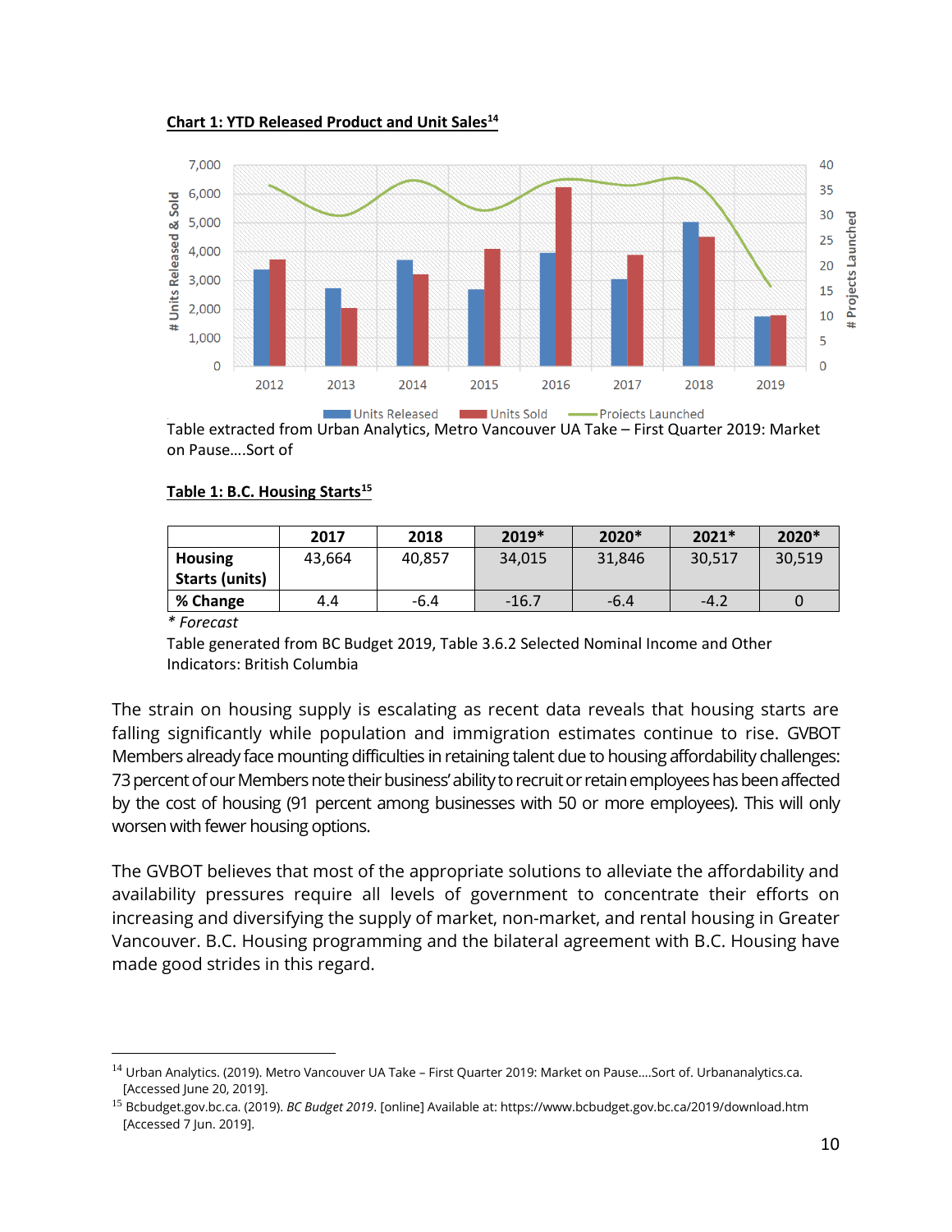



Table extracted from Urban Analytics, Metro Vancouver UA Take – First Quarter 2019: Market on Pause….Sort of

#### **Table 1: B.C. Housing Starts<sup>15</sup>**

|                                                  | 2017   | 2018   | $2019*$ | $2020*$ | $2021*$ | $2020*$ |
|--------------------------------------------------|--------|--------|---------|---------|---------|---------|
| <b>Housing</b>                                   | 43,664 | 40,857 | 34,015  | 31,846  | 30,517  | 30,519  |
| <b>Starts (units)</b>                            |        |        |         |         |         |         |
| % Change                                         | 4.4    | -6.4   | $-16.7$ | $-6.4$  | $-4.2$  |         |
| $\sim$ $\sim$ $\sim$ $\sim$ $\sim$ $\sim$ $\sim$ |        |        |         |         |         |         |

*\* Forecast*

 $\overline{a}$ 

Table generated from BC Budget 2019, Table 3.6.2 Selected Nominal Income and Other Indicators: British Columbia

The strain on housing supply is escalating as recent data reveals that housing starts are falling significantly while population and immigration estimates continue to rise. GVBOT Members already face mounting difficulties in retaining talent due to housing affordability challenges: 73 percent of our Members note their business' ability to recruit or retain employees has been affected by the cost of housing (91 percent among businesses with 50 or more employees). This will only worsen with fewer housing options.

The GVBOT believes that most of the appropriate solutions to alleviate the affordability and availability pressures require all levels of government to concentrate their efforts on increasing and diversifying the supply of market, non-market, and rental housing in Greater Vancouver. B.C. Housing programming and the bilateral agreement with B.C. Housing have made good strides in this regard.

<sup>&</sup>lt;sup>14</sup> Urban Analytics. (2019). Metro Vancouver UA Take – First Quarter 2019: Market on Pause....Sort of. Urbananalytics.ca. [Accessed June 20, 2019].

<sup>15</sup> Bcbudget.gov.bc.ca. (2019). *BC Budget 2019*. [online] Available at: https://www.bcbudget.gov.bc.ca/2019/download.htm [Accessed 7 Jun. 2019].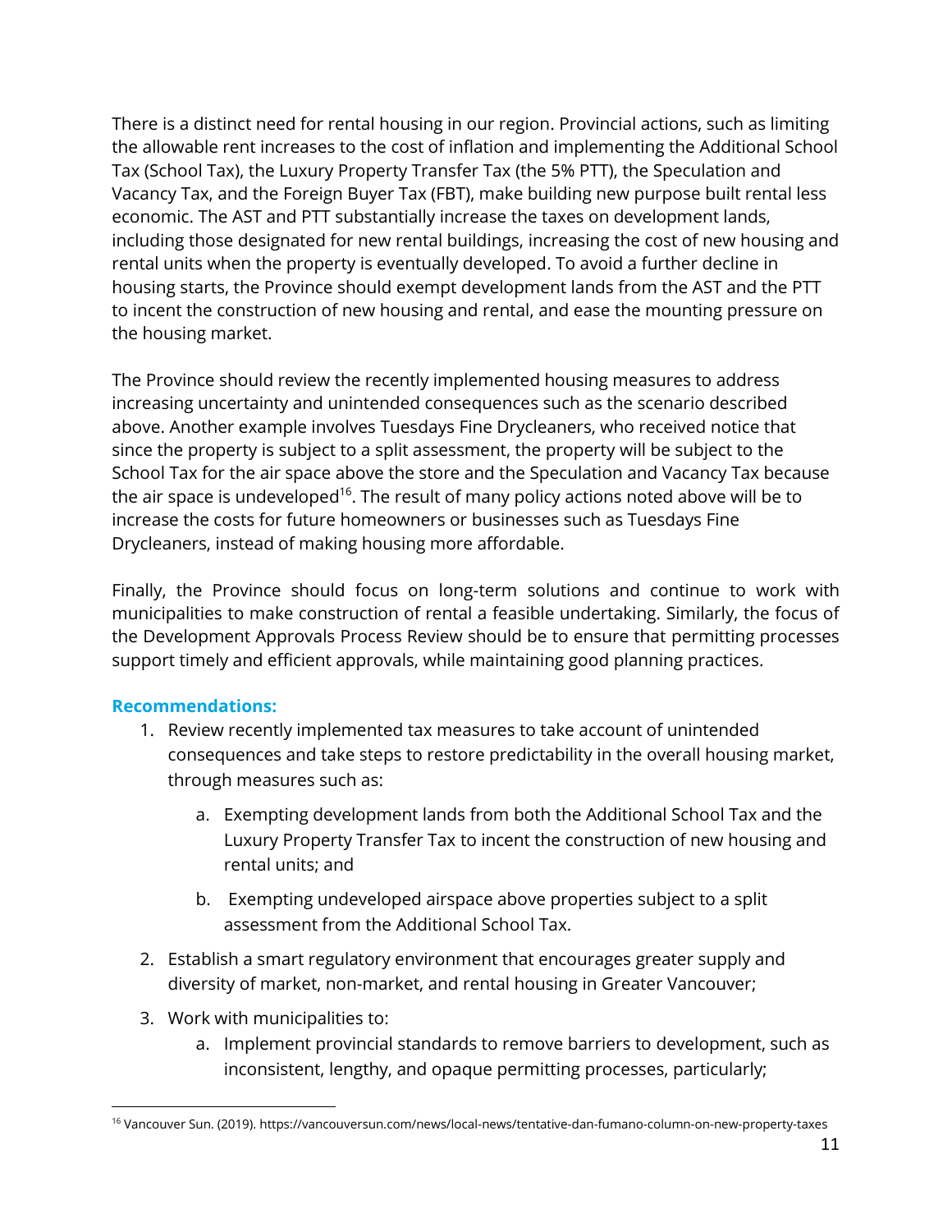There is a distinct need for rental housing in our region. Provincial actions, such as limiting the allowable rent increases to the cost of inflation and implementing the Additional School Tax (School Tax), the Luxury Property Transfer Tax (the 5% PTT), the Speculation and Vacancy Tax, and the Foreign Buyer Tax (FBT), make building new purpose built rental less economic. The AST and PTT substantially increase the taxes on development lands, including those designated for new rental buildings, increasing the cost of new housing and rental units when the property is eventually developed. To avoid a further decline in housing starts, the Province should exempt development lands from the AST and the PTT to incent the construction of new housing and rental, and ease the mounting pressure on the housing market.

The Province should review the recently implemented housing measures to address increasing uncertainty and unintended consequences such as the scenario described above. Another example involves Tuesdays Fine Drycleaners, who received notice that since the property is subject to a split assessment, the property will be subject to the School Tax for the air space above the store and the Speculation and Vacancy Tax because the air space is undeveloped<sup>16</sup>. The result of many policy actions noted above will be to increase the costs for future homeowners or businesses such as Tuesdays Fine Drycleaners, instead of making housing more affordable.

Finally, the Province should focus on long-term solutions and continue to work with municipalities to make construction of rental a feasible undertaking. Similarly, the focus of the Development Approvals Process Review should be to ensure that permitting processes support timely and efficient approvals, while maintaining good planning practices.

# **Recommendations:**

 $\overline{a}$ 

- 1. Review recently implemented tax measures to take account of unintended consequences and take steps to restore predictability in the overall housing market, through measures such as:
	- a. Exempting development lands from both the Additional School Tax and the Luxury Property Transfer Tax to incent the construction of new housing and rental units; and
	- b. Exempting undeveloped airspace above properties subject to a split assessment from the Additional School Tax.
- 2. Establish a smart regulatory environment that encourages greater supply and diversity of market, non-market, and rental housing in Greater Vancouver;
- 3. Work with municipalities to:
	- a. Implement provincial standards to remove barriers to development, such as inconsistent, lengthy, and opaque permitting processes, particularly;

<sup>16</sup> Vancouver Sun. (2019). https://vancouversun.com/news/local-news/tentative-dan-fumano-column-on-new-property-taxes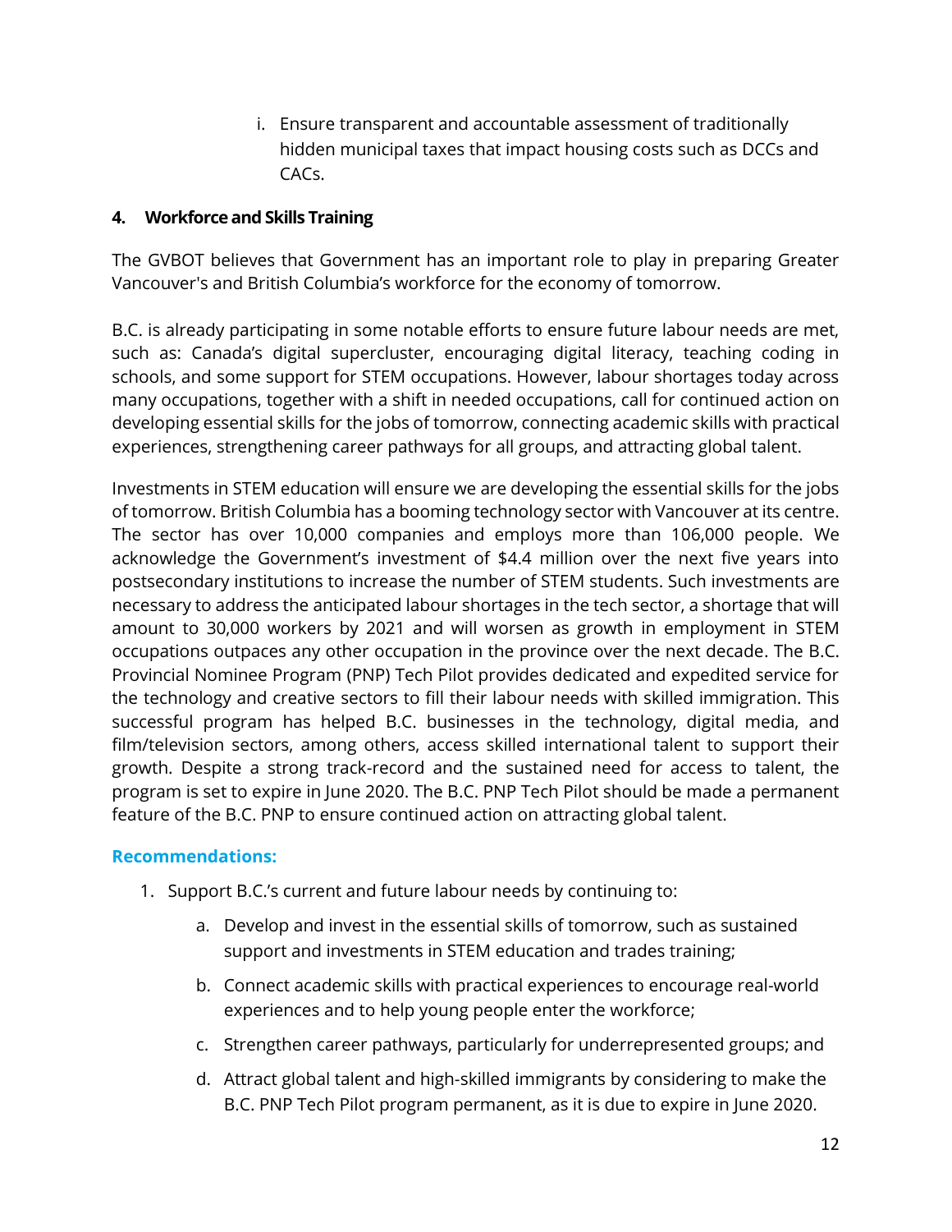i. Ensure transparent and accountable assessment of traditionally hidden municipal taxes that impact housing costs such as DCCs and CACs.

# **4. Workforce and Skills Training**

The GVBOT believes that Government has an important role to play in preparing Greater Vancouver's and British Columbia's workforce for the economy of tomorrow.

B.C. is already participating in some notable efforts to ensure future labour needs are met, such as: Canada's digital supercluster, encouraging digital literacy, teaching coding in schools, and some support for STEM occupations. However, labour shortages today across many occupations, together with a shift in needed occupations, call for continued action on developing essential skills for the jobs of tomorrow, connecting academic skills with practical experiences, strengthening career pathways for all groups, and attracting global talent.

Investments in STEM education will ensure we are developing the essential skills for the jobs of tomorrow. British Columbia has a booming technology sector with Vancouver at its centre. The sector has over 10,000 companies and employs more than 106,000 people. We acknowledge the Government's investment of \$4.4 million over the next five years into postsecondary institutions to increase the number of STEM students. Such investments are necessary to address the anticipated labour shortages in the tech sector, a shortage that will amount to 30,000 workers by 2021 and will worsen as growth in employment in STEM occupations outpaces any other occupation in the province over the next decade. The B.C. Provincial Nominee Program (PNP) Tech Pilot provides dedicated and expedited service for the technology and creative sectors to fill their labour needs with skilled immigration. This successful program has helped B.C. businesses in the technology, digital media, and film/television sectors, among others, access skilled international talent to support their growth. Despite a strong track-record and the sustained need for access to talent, the program is set to expire in June 2020. The B.C. PNP Tech Pilot should be made a permanent feature of the B.C. PNP to ensure continued action on attracting global talent.

#### **Recommendations:**

- 1. Support B.C.'s current and future labour needs by continuing to:
	- a. Develop and invest in the essential skills of tomorrow, such as sustained support and investments in STEM education and trades training;
	- b. Connect academic skills with practical experiences to encourage real-world experiences and to help young people enter the workforce;
	- c. Strengthen career pathways, particularly for underrepresented groups; and
	- d. Attract global talent and high-skilled immigrants by considering to make the B.C. PNP Tech Pilot program permanent, as it is due to expire in June 2020.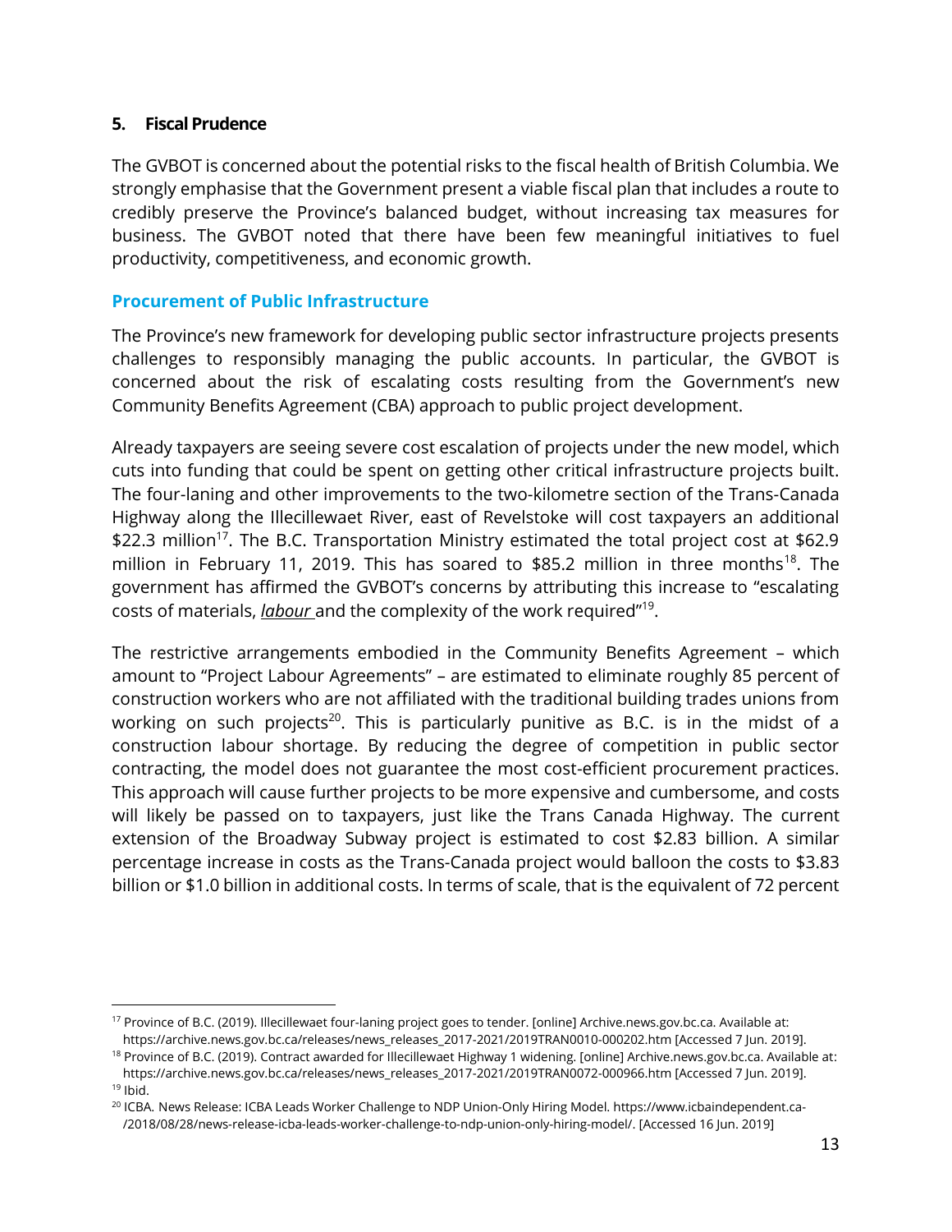#### **5. Fiscal Prudence**

 $\overline{a}$ 

The GVBOT is concerned about the potential risks to the fiscal health of British Columbia. We strongly emphasise that the Government present a viable fiscal plan that includes a route to credibly preserve the Province's balanced budget, without increasing tax measures for business. The GVBOT noted that there have been few meaningful initiatives to fuel productivity, competitiveness, and economic growth.

#### **Procurement of Public Infrastructure**

The Province's new framework for developing public sector infrastructure projects presents challenges to responsibly managing the public accounts. In particular, the GVBOT is concerned about the risk of escalating costs resulting from the Government's new Community Benefits Agreement (CBA) approach to public project development.

Already taxpayers are seeing severe cost escalation of projects under the new model, which cuts into funding that could be spent on getting other critical infrastructure projects built. The four-laning and other improvements to the two-kilometre section of the Trans-Canada Highway along the Illecillewaet River, east of Revelstoke will cost taxpayers an additional \$22.3 million<sup>17</sup>. The B.C. Transportation Ministry estimated the total project cost at \$62.9 million in February 11, 2019. This has soared to \$85.2 million in three months<sup>18</sup>. The government has affirmed the GVBOT's concerns by attributing this increase to "escalating costs of materials, *labour* and the complexity of the work required"<sup>19</sup> .

The restrictive arrangements embodied in the Community Benefits Agreement – which amount to "Project Labour Agreements" – are estimated to eliminate roughly 85 percent of construction workers who are not affiliated with the traditional building trades unions from working on such projects<sup>20</sup>. This is particularly punitive as B.C. is in the midst of a construction labour shortage. By reducing the degree of competition in public sector contracting, the model does not guarantee the most cost-efficient procurement practices. This approach will cause further projects to be more expensive and cumbersome, and costs will likely be passed on to taxpayers, just like the Trans Canada Highway. The current extension of the Broadway Subway project is estimated to cost \$2.83 billion. A similar percentage increase in costs as the Trans-Canada project would balloon the costs to \$3.83 billion or \$1.0 billion in additional costs. In terms of scale, that is the equivalent of 72 percent

<sup>17</sup> Province of B.C. (2019). Illecillewaet four-laning project goes to tender. [online] Archive.news.gov.bc.ca. Available at: [https://archive.news.gov.bc.ca/releases/news\\_releases\\_2017-2021/2019TRAN0010-000202.htm](https://archive.news.gov.bc.ca/releases/news_releases_2017-2021/2019TRAN0010-000202.htm) [Accessed 7 Jun. 2019].

<sup>&</sup>lt;sup>18</sup> Province of B.C. (2019). Contract awarded for Illecillewaet Highway 1 widening. [online] Archive.news.gov.bc.ca. Available at: https://archive.news.gov.bc.ca/releases/news\_releases\_2017-2021/2019TRAN0072-000966.htm [Accessed 7 Jun. 2019].  $19$  Ibid.

<sup>20</sup> ICBA. News Release: ICBA Leads Worker Challenge to NDP Union-Only Hiring Model[. https://www.icbaindependent.ca-](https://www.icbaindependent.ca-/2018/08/28/news-release-icba-leads-worker-challenge-to-ndp-union-only-hiring-model/) [/2018/08/28/news-release-icba-leads-worker-challenge-to-ndp-union-only-hiring-model/.](https://www.icbaindependent.ca-/2018/08/28/news-release-icba-leads-worker-challenge-to-ndp-union-only-hiring-model/) [Accessed 16 Jun. 2019]